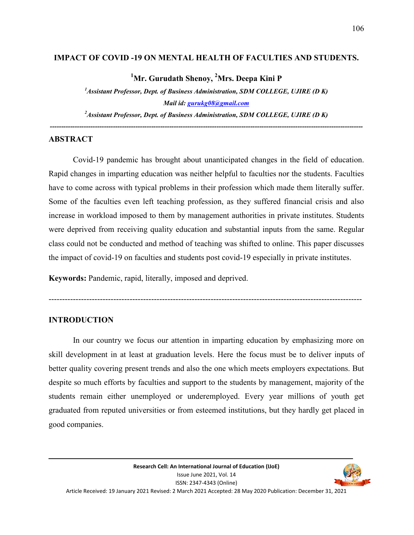#### **IMPACT OF COVID -19 ON MENTAL HEALTH OF FACULTIES AND STUDENTS.**

**<sup>1</sup>Mr. Gurudath Shenoy, <sup>2</sup>Mrs. Deepa Kini P** 

*<sup>1</sup>Assistant Professor, Dept. of Business Administration, SDM COLLEGE, UJIRE (D K) Mail id: gurukg08@gmail.com*

*<sup>2</sup>Assistant Professor, Dept. of Business Administration, SDM COLLEGE, UJIRE (D K) -------------------------------------------------------------------------------------------------------------------------------------------*

#### **ABSTRACT**

 Covid-19 pandemic has brought about unanticipated changes in the field of education. Rapid changes in imparting education was neither helpful to faculties nor the students. Faculties have to come across with typical problems in their profession which made them literally suffer. Some of the faculties even left teaching profession, as they suffered financial crisis and also increase in workload imposed to them by management authorities in private institutes. Students were deprived from receiving quality education and substantial inputs from the same. Regular class could not be conducted and method of teaching was shifted to online. This paper discusses the impact of covid-19 on faculties and students post covid-19 especially in private institutes.

**Keywords:** Pandemic, rapid, literally, imposed and deprived.

--------------------------------------------------------------------------------------------------------------------

#### **INTRODUCTION**

 In our country we focus our attention in imparting education by emphasizing more on skill development in at least at graduation levels. Here the focus must be to deliver inputs of better quality covering present trends and also the one which meets employers expectations. But despite so much efforts by faculties and support to the students by management, majority of the students remain either unemployed or underemployed. Every year millions of youth get graduated from reputed universities or from esteemed institutions, but they hardly get placed in good companies.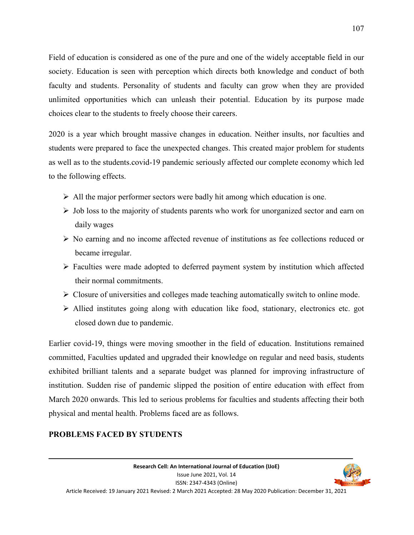Field of education is considered as one of the pure and one of the widely acceptable field in our society. Education is seen with perception which directs both knowledge and conduct of both faculty and students. Personality of students and faculty can grow when they are provided unlimited opportunities which can unleash their potential. Education by its purpose made choices clear to the students to freely choose their careers.

2020 is a year which brought massive changes in education. Neither insults, nor faculties and students were prepared to face the unexpected changes. This created major problem for students as well as to the students.covid-19 pandemic seriously affected our complete economy which led to the following effects.

- $\triangleright$  All the major performer sectors were badly hit among which education is one.
- $\triangleright$  Job loss to the majority of students parents who work for unorganized sector and earn on daily wages
- $\triangleright$  No earning and no income affected revenue of institutions as fee collections reduced or became irregular.
- $\triangleright$  Faculties were made adopted to deferred payment system by institution which affected their normal commitments.
- $\triangleright$  Closure of universities and colleges made teaching automatically switch to online mode.
- $\triangleright$  Allied institutes going along with education like food, stationary, electronics etc. got closed down due to pandemic.

Earlier covid-19, things were moving smoother in the field of education. Institutions remained committed, Faculties updated and upgraded their knowledge on regular and need basis, students exhibited brilliant talents and a separate budget was planned for improving infrastructure of institution. Sudden rise of pandemic slipped the position of entire education with effect from March 2020 onwards. This led to serious problems for faculties and students affecting their both physical and mental health. Problems faced are as follows.

> Issue June 2021, Vol. 14 ISSN: 2347-4343 (Online)

#### **PROBLEMS FACED BY STUDENTS**

107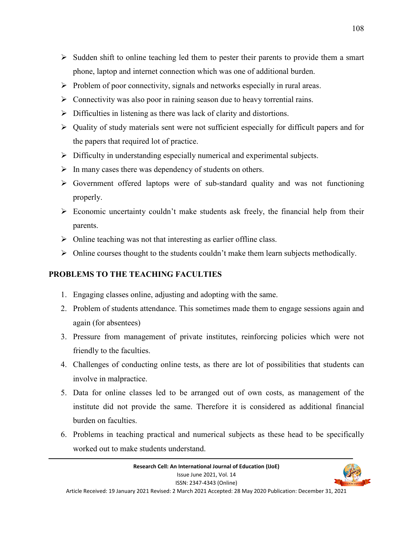- $\triangleright$  Sudden shift to online teaching led them to pester their parents to provide them a smart phone, laptop and internet connection which was one of additional burden.
- $\triangleright$  Problem of poor connectivity, signals and networks especially in rural areas.
- $\triangleright$  Connectivity was also poor in raining season due to heavy torrential rains.
- $\triangleright$  Difficulties in listening as there was lack of clarity and distortions.
- $\triangleright$  Quality of study materials sent were not sufficient especially for difficult papers and for the papers that required lot of practice.
- $\triangleright$  Difficulty in understanding especially numerical and experimental subjects.
- $\triangleright$  In many cases there was dependency of students on others.
- $\triangleright$  Government offered laptops were of sub-standard quality and was not functioning properly.
- $\triangleright$  Economic uncertainty couldn't make students ask freely, the financial help from their parents.
- $\triangleright$  Online teaching was not that interesting as earlier offline class.
- $\triangleright$  Online courses thought to the students couldn't make them learn subjects methodically.

# **PROBLEMS TO THE TEACHING FACULTIES**

- 1. Engaging classes online, adjusting and adopting with the same.
- 2. Problem of students attendance. This sometimes made them to engage sessions again and again (for absentees)
- 3. Pressure from management of private institutes, reinforcing policies which were not friendly to the faculties.
- 4. Challenges of conducting online tests, as there are lot of possibilities that students can involve in malpractice.
- 5. Data for online classes led to be arranged out of own costs, as management of the institute did not provide the same. Therefore it is considered as additional financial burden on faculties.
- 6. Problems in teaching practical and numerical subjects as these head to be specifically worked out to make students understand.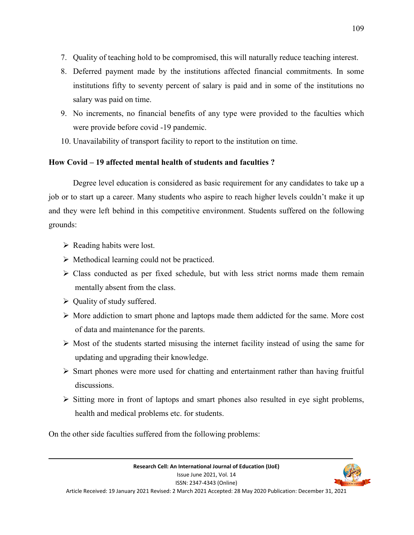- 7. Quality of teaching hold to be compromised, this will naturally reduce teaching interest.
- 8. Deferred payment made by the institutions affected financial commitments. In some institutions fifty to seventy percent of salary is paid and in some of the institutions no salary was paid on time.
- 9. No increments, no financial benefits of any type were provided to the faculties which were provide before covid -19 pandemic.
- 10. Unavailability of transport facility to report to the institution on time.

# **How Covid – 19 affected mental health of students and faculties ?**

 Degree level education is considered as basic requirement for any candidates to take up a job or to start up a career. Many students who aspire to reach higher levels couldn't make it up and they were left behind in this competitive environment. Students suffered on the following grounds:

- $\triangleright$  Reading habits were lost.
- $\triangleright$  Methodical learning could not be practiced.
- $\triangleright$  Class conducted as per fixed schedule, but with less strict norms made them remain mentally absent from the class.
- $\triangleright$  Ouality of study suffered.
- $\triangleright$  More addiction to smart phone and laptops made them addicted for the same. More cost of data and maintenance for the parents.
- $\triangleright$  Most of the students started misusing the internet facility instead of using the same for updating and upgrading their knowledge.
- $\triangleright$  Smart phones were more used for chatting and entertainment rather than having fruitful discussions.
- $\triangleright$  Sitting more in front of laptops and smart phones also resulted in eye sight problems, health and medical problems etc. for students.

On the other side faculties suffered from the following problems: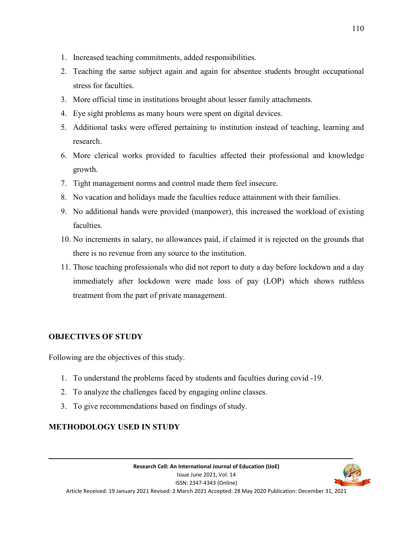- 1. Increased teaching commitments, added responsibilities.
- 2. Teaching the same subject again and again for absentee students brought occupational stress for faculties.
- 3. More official time in institutions brought about lesser family attachments.
- 4. Eye sight problems as many hours were spent on digital devices.
- 5. Additional tasks were offered pertaining to institution instead of teaching, learning and research.
- 6. More clerical works provided to faculties affected their professional and knowledge growth.
- 7. Tight management norms and control made them feel insecure.
- 8. No vacation and holidays made the faculties reduce attainment with their families.
- 9. No additional hands were provided (manpower), this increased the workload of existing faculties.
- 10. No increments in salary, no allowances paid, if claimed it is rejected on the grounds that there is no revenue from any source to the institution.
- 11. Those teaching professionals who did not report to duty a day before lockdown and a day immediately after lockdown were made loss of pay (LOP) which shows ruthless treatment from the part of private management.

# **OBJECTIVES OF STUDY**

Following are the objectives of this study.

- 1. To understand the problems faced by students and faculties during covid -19.
- 2. To analyze the challenges faced by engaging online classes.
- 3. To give recommendations based on findings of study.

# **METHODOLOGY USED IN STUDY**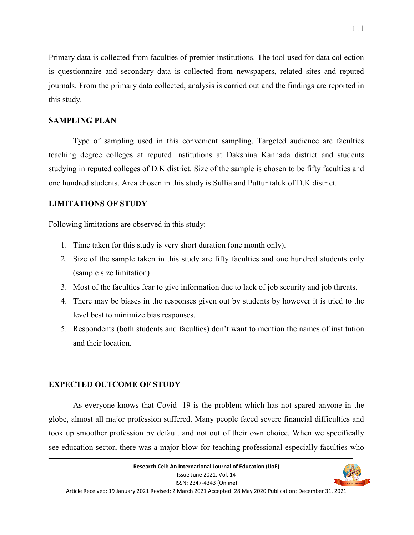Primary data is collected from faculties of premier institutions. The tool used for data collection is questionnaire and secondary data is collected from newspapers, related sites and reputed journals. From the primary data collected, analysis is carried out and the findings are reported in this study.

#### **SAMPLING PLAN**

 Type of sampling used in this convenient sampling. Targeted audience are faculties teaching degree colleges at reputed institutions at Dakshina Kannada district and students studying in reputed colleges of D.K district. Size of the sample is chosen to be fifty faculties and one hundred students. Area chosen in this study is Sullia and Puttur taluk of D.K district.

#### **LIMITATIONS OF STUDY**

Following limitations are observed in this study:

- 1. Time taken for this study is very short duration (one month only).
- 2. Size of the sample taken in this study are fifty faculties and one hundred students only (sample size limitation)
- 3. Most of the faculties fear to give information due to lack of job security and job threats.
- 4. There may be biases in the responses given out by students by however it is tried to the level best to minimize bias responses.
- 5. Respondents (both students and faculties) don't want to mention the names of institution and their location.

#### **EXPECTED OUTCOME OF STUDY**

 As everyone knows that Covid -19 is the problem which has not spared anyone in the globe, almost all major profession suffered. Many people faced severe financial difficulties and took up smoother profession by default and not out of their own choice. When we specifically see education sector, there was a major blow for teaching professional especially faculties who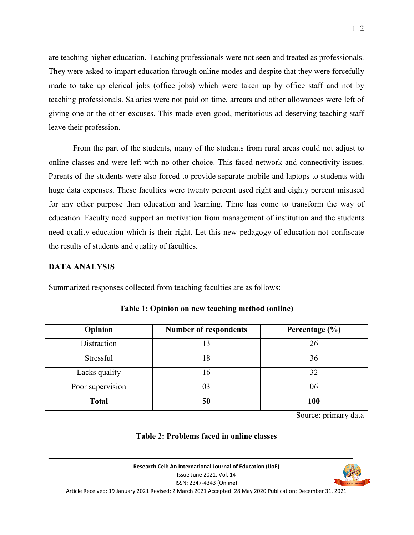are teaching higher education. Teaching professionals were not seen and treated as professionals. They were asked to impart education through online modes and despite that they were forcefully made to take up clerical jobs (office jobs) which were taken up by office staff and not by teaching professionals. Salaries were not paid on time, arrears and other allowances were left of giving one or the other excuses. This made even good, meritorious ad deserving teaching staff leave their profession.

 From the part of the students, many of the students from rural areas could not adjust to online classes and were left with no other choice. This faced network and connectivity issues. Parents of the students were also forced to provide separate mobile and laptops to students with huge data expenses. These faculties were twenty percent used right and eighty percent misused for any other purpose than education and learning. Time has come to transform the way of education. Faculty need support an motivation from management of institution and the students need quality education which is their right. Let this new pedagogy of education not confiscate the results of students and quality of faculties.

#### **DATA ANALYSIS**

Summarized responses collected from teaching faculties are as follows:

| Opinion          | <b>Number of respondents</b> | Percentage $(\% )$ |
|------------------|------------------------------|--------------------|
| Distraction      | 13                           | 26                 |
| Stressful        | 18                           | 36                 |
| Lacks quality    | 16                           | 32                 |
| Poor supervision |                              | 06                 |
| <b>Total</b>     | 50                           | 100                |

**Table 1: Opinion on new teaching method (online)** 

Source: primary data

### **Table 2: Problems faced in online classes**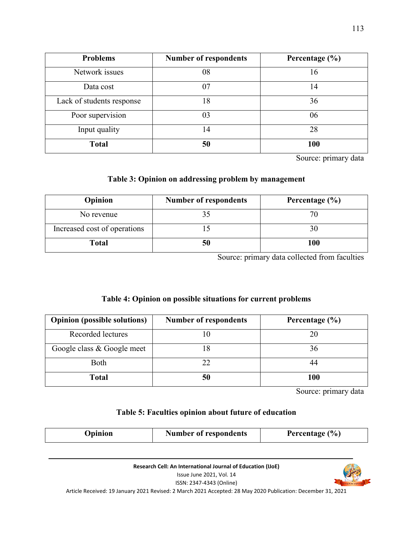| <b>Problems</b>           | <b>Number of respondents</b> | Percentage $(\% )$ |
|---------------------------|------------------------------|--------------------|
| Network issues            | 08                           | 16                 |
| Data cost                 | 07                           | 14                 |
| Lack of students response | 18                           | 36                 |
| Poor supervision          | 03                           | 06                 |
| Input quality             | 14                           | 28                 |
| <b>Total</b>              | 50                           | 100                |

Source: primary data

### **Table 3: Opinion on addressing problem by management**

| Opinion                      | <b>Number of respondents</b> | Percentage $(\% )$ |
|------------------------------|------------------------------|--------------------|
| No revenue                   |                              | 70                 |
| Increased cost of operations |                              |                    |
| Total                        |                              | 100                |

Source: primary data collected from faculties

## **Table 4: Opinion on possible situations for current problems**

| <b>Opinion (possible solutions)</b> | <b>Number of respondents</b> | Percentage $(\% )$ |
|-------------------------------------|------------------------------|--------------------|
| Recorded lectures                   |                              | 20                 |
| Google class & Google meet          |                              | 36                 |
| Both                                | າາ                           |                    |
| <b>Total</b>                        |                              | 100                |

Source: primary data

## **Table 5: Faculties opinion about future of education**

| Percentage $(\% )$<br><b>Number of respondents</b><br>Jpinion |
|---------------------------------------------------------------|
|---------------------------------------------------------------|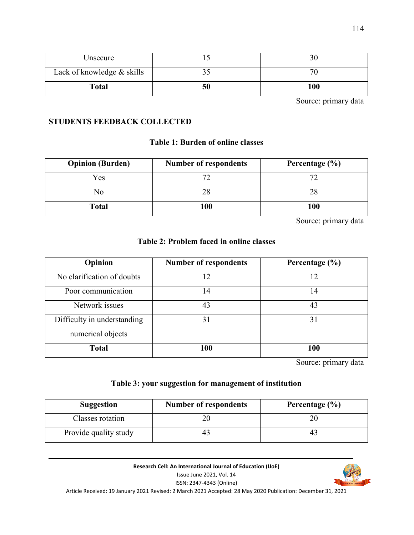| Unsecure                   |    |     |
|----------------------------|----|-----|
| Lack of knowledge & skills |    |     |
| <b>Total</b>               | 50 | 100 |

Source: primary data

### **STUDENTS FEEDBACK COLLECTED**

### **Table 1: Burden of online classes**

| <b>Opinion (Burden)</b> | <b>Number of respondents</b> | Percentage $(\% )$ |
|-------------------------|------------------------------|--------------------|
| Yes                     |                              |                    |
| No                      |                              |                    |
| <b>Total</b>            | 100                          | 100                |

Source: primary data

### **Table 2: Problem faced in online classes**

| Opinion                                          | <b>Number of respondents</b> | Percentage (%) |
|--------------------------------------------------|------------------------------|----------------|
| No clarification of doubts                       | 12                           | 12             |
| Poor communication                               | 14                           | 14             |
| Network issues                                   | 43                           | 43             |
| Difficulty in understanding<br>numerical objects | 31                           | 31             |
| <b>Total</b>                                     | 100                          | 100            |

Source: primary data

## **Table 3: your suggestion for management of institution**

| <b>Suggestion</b>     | <b>Number of respondents</b> | Percentage $(\% )$ |
|-----------------------|------------------------------|--------------------|
| Classes rotation      |                              |                    |
| Provide quality study |                              |                    |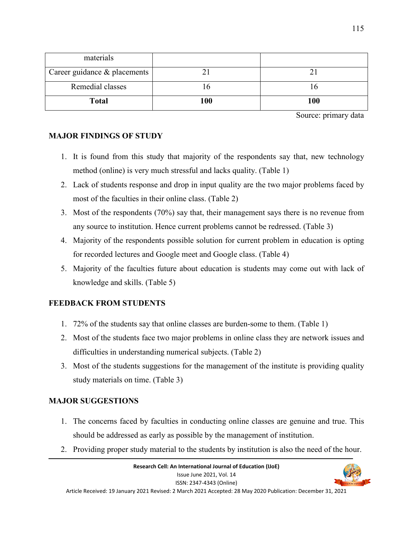| materials                    |     |     |
|------------------------------|-----|-----|
| Career guidance & placements |     |     |
| Remedial classes             |     |     |
| <b>Total</b>                 | 100 | 100 |

Source: primary data

### **MAJOR FINDINGS OF STUDY**

- 1. It is found from this study that majority of the respondents say that, new technology method (online) is very much stressful and lacks quality. (Table 1)
- 2. Lack of students response and drop in input quality are the two major problems faced by most of the faculties in their online class. (Table 2)
- 3. Most of the respondents (70%) say that, their management says there is no revenue from any source to institution. Hence current problems cannot be redressed. (Table 3)
- 4. Majority of the respondents possible solution for current problem in education is opting for recorded lectures and Google meet and Google class. (Table 4)
- 5. Majority of the faculties future about education is students may come out with lack of knowledge and skills. (Table 5)

## **FEEDBACK FROM STUDENTS**

- 1. 72% of the students say that online classes are burden-some to them. (Table 1)
- 2. Most of the students face two major problems in online class they are network issues and difficulties in understanding numerical subjects. (Table 2)
- 3. Most of the students suggestions for the management of the institute is providing quality study materials on time. (Table 3)

## **MAJOR SUGGESTIONS**

- 1. The concerns faced by faculties in conducting online classes are genuine and true. This should be addressed as early as possible by the management of institution.
- 2. Providing proper study material to the students by institution is also the need of the hour.